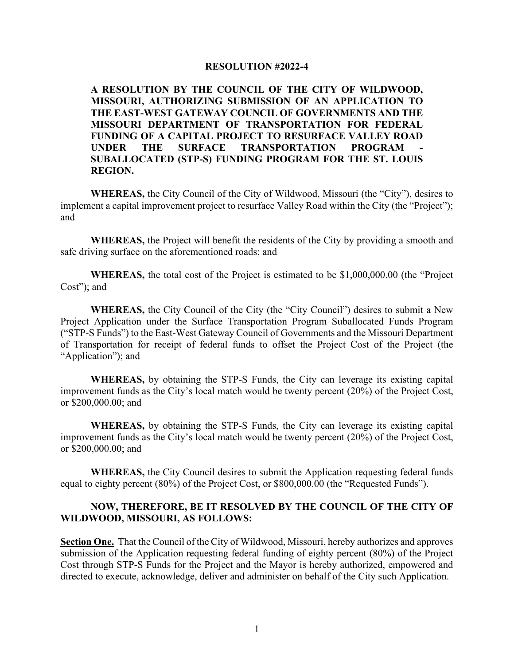## **RESOLUTION #2022-4**

**A RESOLUTION BY THE COUNCIL OF THE CITY OF WILDWOOD, MISSOURI, AUTHORIZING SUBMISSION OF AN APPLICATION TO THE EAST-WEST GATEWAY COUNCIL OF GOVERNMENTS AND THE MISSOURI DEPARTMENT OF TRANSPORTATION FOR FEDERAL FUNDING OF A CAPITAL PROJECT TO RESURFACE VALLEY ROAD**  UNDER THE SURFACE TRANSPORTATION PROGRAM **SUBALLOCATED (STP-S) FUNDING PROGRAM FOR THE ST. LOUIS REGION.**

**WHEREAS,** the City Council of the City of Wildwood, Missouri (the "City"), desires to implement a capital improvement project to resurface Valley Road within the City (the "Project"); and

**WHEREAS,** the Project will benefit the residents of the City by providing a smooth and safe driving surface on the aforementioned roads; and

**WHEREAS,** the total cost of the Project is estimated to be \$1,000,000.00 (the "Project Cost"); and

**WHEREAS,** the City Council of the City (the "City Council") desires to submit a New Project Application under the Surface Transportation Program–Suballocated Funds Program ("STP-S Funds") to the East-West Gateway Council of Governments and the Missouri Department of Transportation for receipt of federal funds to offset the Project Cost of the Project (the "Application"); and

**WHEREAS,** by obtaining the STP-S Funds, the City can leverage its existing capital improvement funds as the City's local match would be twenty percent (20%) of the Project Cost, or \$200,000.00; and

**WHEREAS,** by obtaining the STP-S Funds, the City can leverage its existing capital improvement funds as the City's local match would be twenty percent (20%) of the Project Cost, or \$200,000.00; and

**WHEREAS,** the City Council desires to submit the Application requesting federal funds equal to eighty percent (80%) of the Project Cost, or \$800,000.00 (the "Requested Funds").

## **NOW, THEREFORE, BE IT RESOLVED BY THE COUNCIL OF THE CITY OF WILDWOOD, MISSOURI, AS FOLLOWS:**

**Section One.** That the Council of the City of Wildwood, Missouri, hereby authorizes and approves submission of the Application requesting federal funding of eighty percent (80%) of the Project Cost through STP-S Funds for the Project and the Mayor is hereby authorized, empowered and directed to execute, acknowledge, deliver and administer on behalf of the City such Application.